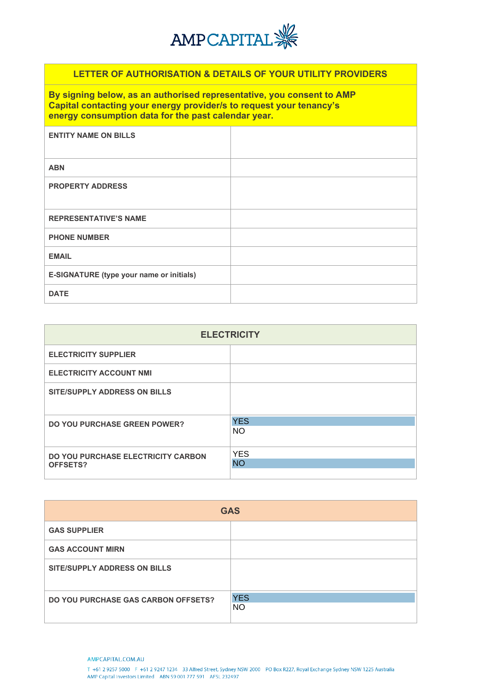

# **LETTER OF AUTHORISATION & DETAILS OF YOUR UTILITY PROVIDERS**

**By signing below, as an authorised representative, you consent to AMP Capital contacting your energy provider/s to request your tenancy's energy consumption data for the past calendar year.**

| <b>ENTITY NAME ON BILLS</b>              |  |
|------------------------------------------|--|
| <b>ABN</b>                               |  |
| <b>PROPERTY ADDRESS</b>                  |  |
| <b>REPRESENTATIVE'S NAME</b>             |  |
| <b>PHONE NUMBER</b>                      |  |
| <b>EMAIL</b>                             |  |
| E-SIGNATURE (type your name or initials) |  |
| <b>DATE</b>                              |  |

| <b>ELECTRICITY</b>                                    |                         |  |  |
|-------------------------------------------------------|-------------------------|--|--|
| <b>ELECTRICITY SUPPLIER</b>                           |                         |  |  |
| <b>ELECTRICITY ACCOUNT NMI</b>                        |                         |  |  |
| <b>SITE/SUPPLY ADDRESS ON BILLS</b>                   |                         |  |  |
| <b>DO YOU PURCHASE GREEN POWER?</b>                   | <b>YES</b><br><b>NO</b> |  |  |
| <b>DO YOU PURCHASE ELECTRICITY CARBON</b><br>OFFSETS? | <b>YES</b><br><b>NO</b> |  |  |

| <b>GAS</b>                                 |                   |  |  |
|--------------------------------------------|-------------------|--|--|
| <b>GAS SUPPLIER</b>                        |                   |  |  |
| <b>GAS ACCOUNT MIRN</b>                    |                   |  |  |
| <b>SITE/SUPPLY ADDRESS ON BILLS</b>        |                   |  |  |
| <b>DO YOU PURCHASE GAS CARBON OFFSETS?</b> | <b>YES</b><br>NO. |  |  |